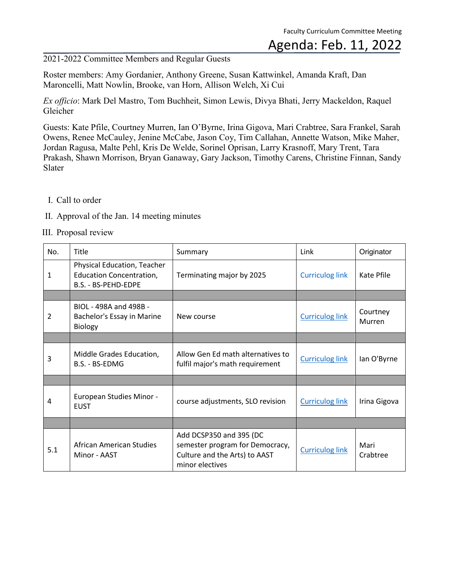#### Agenda: Feb. 11, 2022

2021-2022 Committee Members and Regular Guests

Roster members: Amy Gordanier, Anthony Greene, Susan Kattwinkel, Amanda Kraft, Dan Maroncelli, Matt Nowlin, Brooke, van Horn, Allison Welch, Xi Cui

*Ex officio*: Mark Del Mastro, Tom Buchheit, Simon Lewis, Divya Bhati, Jerry Mackeldon, Raquel Gleicher

Guests: Kate Pfile, Courtney Murren, Ian O'Byrne, Irina Gigova, Mari Crabtree, Sara Frankel, Sarah Owens, Renee McCauley, Jenine McCabe, Jason Coy, Tim Callahan, Annette Watson, Mike Maher, Jordan Ragusa, Malte Pehl, Kris De Welde, Sorinel Oprisan, Larry Krasnoff, Mary Trent, Tara Prakash, Shawn Morrison, Bryan Ganaway, Gary Jackson, Timothy Carens, Christine Finnan, Sandy Slater

- I. Call to order
- II. Approval of the Jan. 14 meeting minutes
- III. Proposal review

| No. | <b>Title</b>                                                                                 | Summary                                                                                                        | Link                   | Originator         |
|-----|----------------------------------------------------------------------------------------------|----------------------------------------------------------------------------------------------------------------|------------------------|--------------------|
| 1   | <b>Physical Education, Teacher</b><br><b>Education Concentration,</b><br>B.S. - BS-PEHD-EDPE | Terminating major by 2025                                                                                      | <b>Curriculog link</b> | Kate Pfile         |
|     |                                                                                              |                                                                                                                |                        |                    |
| 2   | BIOL - 498A and 498B -<br>Bachelor's Essay in Marine<br>Biology                              | New course                                                                                                     | <b>Curriculog link</b> | Courtney<br>Murren |
|     |                                                                                              |                                                                                                                |                        |                    |
| 3   | Middle Grades Education,<br>B.S. - BS-EDMG                                                   | Allow Gen Ed math alternatives to<br>fulfil major's math requirement                                           | <b>Curriculog link</b> | lan O'Byrne        |
|     |                                                                                              |                                                                                                                |                        |                    |
| 4   | European Studies Minor -<br><b>EUST</b>                                                      | course adjustments, SLO revision                                                                               | <b>Curriculog link</b> | Irina Gigova       |
|     |                                                                                              |                                                                                                                |                        |                    |
| 5.1 | African American Studies<br>Minor - AAST                                                     | Add DCSP350 and 395 (DC<br>semester program for Democracy,<br>Culture and the Arts) to AAST<br>minor electives | <b>Curriculog link</b> | Mari<br>Crabtree   |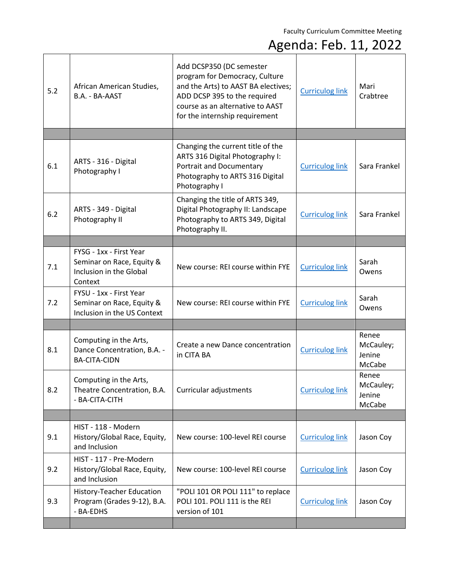| 5.2 | African American Studies,<br>B.A. - BA-AAST                                                | Add DCSP350 (DC semester<br>program for Democracy, Culture<br>and the Arts) to AAST BA electives;<br>ADD DCSP 395 to the required<br>course as an alternative to AAST<br>for the internship requirement | <b>Curriculog link</b> | Mari<br>Crabtree                       |
|-----|--------------------------------------------------------------------------------------------|---------------------------------------------------------------------------------------------------------------------------------------------------------------------------------------------------------|------------------------|----------------------------------------|
|     |                                                                                            |                                                                                                                                                                                                         |                        |                                        |
| 6.1 | ARTS - 316 - Digital<br>Photography I                                                      | Changing the current title of the<br>ARTS 316 Digital Photography I:<br>Portrait and Documentary<br>Photography to ARTS 316 Digital<br>Photography I                                                    | <b>Curriculog link</b> | Sara Frankel                           |
| 6.2 | ARTS - 349 - Digital<br>Photography II                                                     | Changing the title of ARTS 349,<br>Digital Photography II: Landscape<br>Photography to ARTS 349, Digital<br>Photography II.                                                                             | <b>Curriculog link</b> | Sara Frankel                           |
|     |                                                                                            |                                                                                                                                                                                                         |                        |                                        |
| 7.1 | FYSG - 1xx - First Year<br>Seminar on Race, Equity &<br>Inclusion in the Global<br>Context | New course: REI course within FYE                                                                                                                                                                       | <b>Curriculog link</b> | Sarah<br>Owens                         |
| 7.2 | FYSU - 1xx - First Year<br>Seminar on Race, Equity &<br>Inclusion in the US Context        | New course: REI course within FYE                                                                                                                                                                       | <b>Curriculog link</b> | Sarah<br>Owens                         |
|     |                                                                                            |                                                                                                                                                                                                         |                        |                                        |
| 8.1 | Computing in the Arts,<br>Dance Concentration, B.A. -<br><b>BA-CITA-CIDN</b>               | Create a new Dance concentration<br>in CITA BA                                                                                                                                                          | <b>Curriculog link</b> | Renee<br>McCauley;<br>Jenine<br>McCabe |
| 8.2 | Computing in the Arts,<br>Theatre Concentration, B.A.<br>- BA-CITA-CITH                    | Curricular adjustments                                                                                                                                                                                  | <b>Curriculog link</b> | Renee<br>McCauley;<br>Jenine<br>McCabe |
|     |                                                                                            |                                                                                                                                                                                                         |                        |                                        |
| 9.1 | HIST - 118 - Modern<br>History/Global Race, Equity,<br>and Inclusion                       | New course: 100-level REI course                                                                                                                                                                        | <b>Curriculog link</b> | Jason Coy                              |
| 9.2 | HIST - 117 - Pre-Modern<br>History/Global Race, Equity,<br>and Inclusion                   | New course: 100-level REI course                                                                                                                                                                        | <b>Curriculog link</b> | Jason Coy                              |
| 9.3 | History-Teacher Education<br>Program (Grades 9-12), B.A.<br>- BA-EDHS                      | "POLI 101 OR POLI 111" to replace<br>POLI 101. POLI 111 is the REI<br>version of 101                                                                                                                    | <b>Curriculog link</b> | Jason Coy                              |
|     |                                                                                            |                                                                                                                                                                                                         |                        |                                        |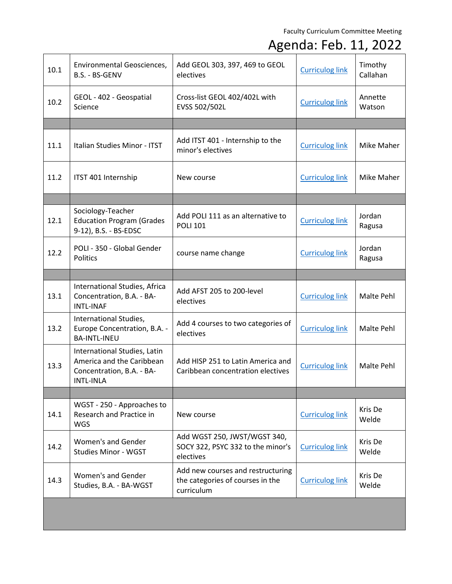| 10.1 | Environmental Geosciences,<br>B.S. - BS-GENV                                                               | Add GEOL 303, 397, 469 to GEOL<br>electives                                         | <b>Curriculog link</b> | Timothy<br>Callahan |
|------|------------------------------------------------------------------------------------------------------------|-------------------------------------------------------------------------------------|------------------------|---------------------|
| 10.2 | GEOL - 402 - Geospatial<br>Science                                                                         | Cross-list GEOL 402/402L with<br>EVSS 502/502L                                      | <b>Curriculog link</b> | Annette<br>Watson   |
|      |                                                                                                            |                                                                                     |                        |                     |
| 11.1 | Italian Studies Minor - ITST                                                                               | Add ITST 401 - Internship to the<br>minor's electives                               | <b>Curriculog link</b> | Mike Maher          |
| 11.2 | ITST 401 Internship                                                                                        | New course                                                                          | <b>Curriculog link</b> | Mike Maher          |
|      |                                                                                                            |                                                                                     |                        |                     |
| 12.1 | Sociology-Teacher<br><b>Education Program (Grades</b><br>9-12), B.S. - BS-EDSC                             | Add POLI 111 as an alternative to<br><b>POLI 101</b>                                | <b>Curriculog link</b> | Jordan<br>Ragusa    |
| 12.2 | POLI - 350 - Global Gender<br>Politics                                                                     | course name change                                                                  | <b>Curriculog link</b> | Jordan<br>Ragusa    |
|      |                                                                                                            |                                                                                     |                        |                     |
| 13.1 | International Studies, Africa<br>Concentration, B.A. - BA-<br><b>INTL-INAF</b>                             | Add AFST 205 to 200-level<br>electives                                              | <b>Curriculog link</b> | Malte Pehl          |
| 13.2 | International Studies,<br>Europe Concentration, B.A. -<br><b>BA-INTL-INEU</b>                              | Add 4 courses to two categories of<br>electives                                     | <b>Curriculog link</b> | Malte Pehl          |
| 13.3 | International Studies, Latin<br>America and the Caribbean<br>Concentration, B.A. - BA-<br><b>INTL-INLA</b> | Add HISP 251 to Latin America and<br>Caribbean concentration electives              | <b>Curriculog link</b> | Malte Pehl          |
|      |                                                                                                            |                                                                                     |                        |                     |
| 14.1 | WGST - 250 - Approaches to<br>Research and Practice in<br><b>WGS</b>                                       | New course                                                                          | <b>Curriculog link</b> | Kris De<br>Welde    |
| 14.2 | Women's and Gender<br><b>Studies Minor - WGST</b>                                                          | Add WGST 250, JWST/WGST 340,<br>SOCY 322, PSYC 332 to the minor's<br>electives      | <b>Curriculog link</b> | Kris De<br>Welde    |
| 14.3 | Women's and Gender<br>Studies, B.A. - BA-WGST                                                              | Add new courses and restructuring<br>the categories of courses in the<br>curriculum | <b>Curriculog link</b> | Kris De<br>Welde    |
|      |                                                                                                            |                                                                                     |                        |                     |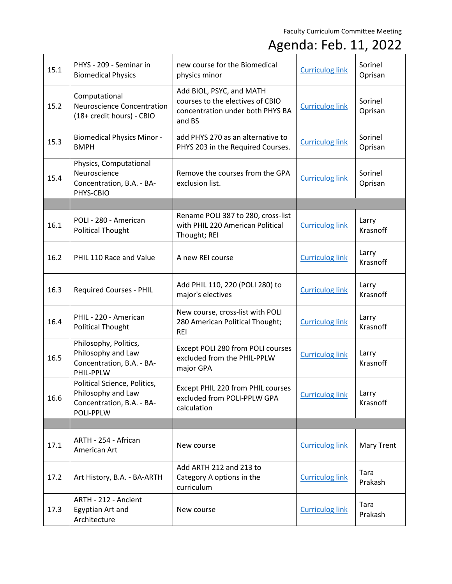| 15.1 | PHYS - 209 - Seminar in<br><b>Biomedical Physics</b>                                         | new course for the Biomedical<br>physics minor                                                             | <b>Curriculog link</b> | Sorinel<br>Oprisan       |
|------|----------------------------------------------------------------------------------------------|------------------------------------------------------------------------------------------------------------|------------------------|--------------------------|
| 15.2 | Computational<br>Neuroscience Concentration<br>(18+ credit hours) - CBIO                     | Add BIOL, PSYC, and MATH<br>courses to the electives of CBIO<br>concentration under both PHYS BA<br>and BS | <b>Curriculog link</b> | Sorinel<br>Oprisan       |
| 15.3 | <b>Biomedical Physics Minor -</b><br><b>BMPH</b>                                             | add PHYS 270 as an alternative to<br>PHYS 203 in the Required Courses.                                     | <b>Curriculog link</b> | Sorinel<br>Oprisan       |
| 15.4 | Physics, Computational<br>Neuroscience<br>Concentration, B.A. - BA-<br>PHYS-CBIO             | Remove the courses from the GPA<br>exclusion list.                                                         | <b>Curriculog link</b> | Sorinel<br>Oprisan       |
|      |                                                                                              |                                                                                                            |                        |                          |
| 16.1 | POLI - 280 - American<br><b>Political Thought</b>                                            | Rename POLI 387 to 280, cross-list<br>with PHIL 220 American Political<br>Thought; REI                     | <b>Curriculog link</b> | Larry<br>Krasnoff        |
| 16.2 | PHIL 110 Race and Value                                                                      | A new REI course                                                                                           | <b>Curriculog link</b> | Larry<br>Krasnoff        |
| 16.3 | <b>Required Courses - PHIL</b>                                                               | Add PHIL 110, 220 (POLI 280) to<br>major's electives                                                       | <b>Curriculog link</b> | Larry<br>Krasnoff        |
| 16.4 | PHIL - 220 - American<br><b>Political Thought</b>                                            | New course, cross-list with POLI<br>280 American Political Thought;<br><b>REI</b>                          | <b>Curriculog link</b> | Larry<br>Krasnoff        |
| 16.5 | Philosophy, Politics,<br>Philosophy and Law<br>Concentration, B.A. - BA-<br>PHIL-PPLW        | Except POLI 280 from POLI courses<br>excluded from the PHIL-PPLW<br>major GPA                              | <b>Curriculog link</b> | Larry<br><b>Krasnoff</b> |
| 16.6 | Political Science, Politics,<br>Philosophy and Law<br>Concentration, B.A. - BA-<br>POLI-PPLW | Except PHIL 220 from PHIL courses<br>excluded from POLI-PPLW GPA<br>calculation                            | <b>Curriculog link</b> | Larry<br>Krasnoff        |
|      |                                                                                              |                                                                                                            |                        |                          |
| 17.1 | ARTH - 254 - African<br>American Art                                                         | New course                                                                                                 | <b>Curriculog link</b> | <b>Mary Trent</b>        |
| 17.2 | Art History, B.A. - BA-ARTH                                                                  | Add ARTH 212 and 213 to<br>Category A options in the<br>curriculum                                         | <b>Curriculog link</b> | Tara<br>Prakash          |
| 17.3 | ARTH - 212 - Ancient<br>Egyptian Art and<br>Architecture                                     | New course                                                                                                 | <b>Curriculog link</b> | Tara<br>Prakash          |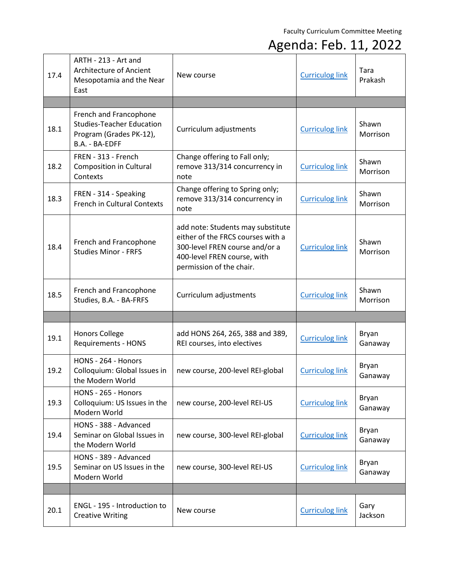| 17.4 | ARTH - 213 - Art and<br>Architecture of Ancient<br>Mesopotamia and the Near<br>East                     | New course                                                                                                                                                          | <b>Curriculog link</b> | Tara<br>Prakash   |
|------|---------------------------------------------------------------------------------------------------------|---------------------------------------------------------------------------------------------------------------------------------------------------------------------|------------------------|-------------------|
|      |                                                                                                         |                                                                                                                                                                     |                        |                   |
| 18.1 | French and Francophone<br><b>Studies-Teacher Education</b><br>Program (Grades PK-12),<br>B.A. - BA-EDFF | Curriculum adjustments                                                                                                                                              | <b>Curriculog link</b> | Shawn<br>Morrison |
| 18.2 | FREN - 313 - French<br>Composition in Cultural<br>Contexts                                              | Change offering to Fall only;<br>remove 313/314 concurrency in<br>note                                                                                              | <b>Curriculog link</b> | Shawn<br>Morrison |
| 18.3 | FREN - 314 - Speaking<br><b>French in Cultural Contexts</b>                                             | Change offering to Spring only;<br>remove 313/314 concurrency in<br>note                                                                                            | <b>Curriculog link</b> | Shawn<br>Morrison |
| 18.4 | French and Francophone<br><b>Studies Minor - FRFS</b>                                                   | add note: Students may substitute<br>either of the FRCS courses with a<br>300-level FREN course and/or a<br>400-level FREN course, with<br>permission of the chair. | <b>Curriculog link</b> | Shawn<br>Morrison |
| 18.5 | French and Francophone<br>Studies, B.A. - BA-FRFS                                                       | Curriculum adjustments                                                                                                                                              | <b>Curriculog link</b> | Shawn<br>Morrison |
|      |                                                                                                         |                                                                                                                                                                     |                        |                   |
| 19.1 | <b>Honors College</b><br><b>Requirements - HONS</b>                                                     | add HONS 264, 265, 388 and 389,<br>REI courses, into electives                                                                                                      | <b>Curriculog link</b> | Bryan<br>Ganaway  |
| 19.2 | HONS - 264 - Honors<br>Colloquium: Global Issues in<br>the Modern World                                 | new course, 200-level REI-global                                                                                                                                    | <b>Curriculog link</b> | Bryan<br>Ganaway  |
| 19.3 | HONS - 265 - Honors<br>Colloquium: US Issues in the<br>Modern World                                     | new course, 200-level REI-US                                                                                                                                        | <b>Curriculog link</b> | Bryan<br>Ganaway  |
| 19.4 | HONS - 388 - Advanced<br>Seminar on Global Issues in<br>the Modern World                                | new course, 300-level REI-global                                                                                                                                    | <b>Curriculog link</b> | Bryan<br>Ganaway  |
| 19.5 | HONS - 389 - Advanced<br>Seminar on US Issues in the<br>Modern World                                    | new course, 300-level REI-US                                                                                                                                        | <b>Curriculog link</b> | Bryan<br>Ganaway  |
|      |                                                                                                         |                                                                                                                                                                     |                        |                   |
| 20.1 | ENGL - 195 - Introduction to<br><b>Creative Writing</b>                                                 | New course                                                                                                                                                          | <b>Curriculog link</b> | Gary<br>Jackson   |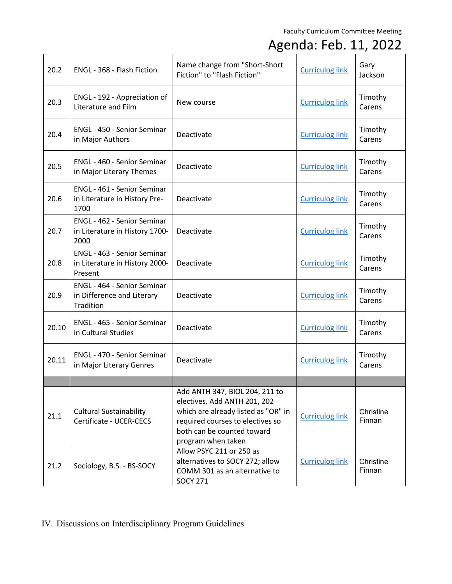#### Agenda: Feb. 11, 2022

| 20.2  | ENGL - 368 - Flash Fiction                                               | Name change from "Short-Short<br>Fiction" to "Flash Fiction"                                                                                                                                  | <b>Curriculog link</b> | Gary<br>Jackson     |
|-------|--------------------------------------------------------------------------|-----------------------------------------------------------------------------------------------------------------------------------------------------------------------------------------------|------------------------|---------------------|
| 20.3  | ENGL - 192 - Appreciation of<br>Literature and Film                      | New course                                                                                                                                                                                    | <b>Curriculog link</b> | Timothy<br>Carens   |
| 20.4  | ENGL - 450 - Senior Seminar<br>in Major Authors                          | Deactivate                                                                                                                                                                                    | <b>Curriculog link</b> | Timothy<br>Carens   |
| 20.5  | <b>ENGL - 460 - Senior Seminar</b><br>in Major Literary Themes           | Deactivate                                                                                                                                                                                    | <b>Curriculog link</b> | Timothy<br>Carens   |
| 20.6  | ENGL - 461 - Senior Seminar<br>in Literature in History Pre-<br>1700     | Deactivate                                                                                                                                                                                    | <b>Curriculog link</b> | Timothy<br>Carens   |
| 20.7  | ENGL - 462 - Senior Seminar<br>in Literature in History 1700-<br>2000    | Deactivate                                                                                                                                                                                    | <b>Curriculog link</b> | Timothy<br>Carens   |
| 20.8  | ENGL - 463 - Senior Seminar<br>in Literature in History 2000-<br>Present | Deactivate                                                                                                                                                                                    | <b>Curriculog link</b> | Timothy<br>Carens   |
| 20.9  | ENGL - 464 - Senior Seminar<br>in Difference and Literary<br>Tradition   | Deactivate                                                                                                                                                                                    | <b>Curriculog link</b> | Timothy<br>Carens   |
| 20.10 | ENGL - 465 - Senior Seminar<br>in Cultural Studies                       | Deactivate                                                                                                                                                                                    | <b>Curriculog link</b> | Timothy<br>Carens   |
| 20.11 | <b>ENGL - 470 - Senior Seminar</b><br>in Major Literary Genres           | Deactivate                                                                                                                                                                                    | <b>Curriculog link</b> | Timothy<br>Carens   |
|       |                                                                          |                                                                                                                                                                                               |                        |                     |
| 21.1  | <b>Cultural Sustainability</b><br>Certificate - UCER-CECS                | Add ANTH 347, BIOL 204, 211 to<br>electives. Add ANTH 201, 202<br>which are already listed as "OR" in<br>required courses to electives so<br>both can be counted toward<br>program when taken | <b>Curriculog link</b> | Christine<br>Finnan |
| 21.2  | Sociology, B.S. - BS-SOCY                                                | Allow PSYC 211 or 250 as<br>alternatives to SOCY 272; allow<br>COMM 301 as an alternative to<br><b>SOCY 271</b>                                                                               | <b>Curriculog link</b> | Christine<br>Finnan |

#### IV. Discussions on Interdisciplinary Program Guidelines